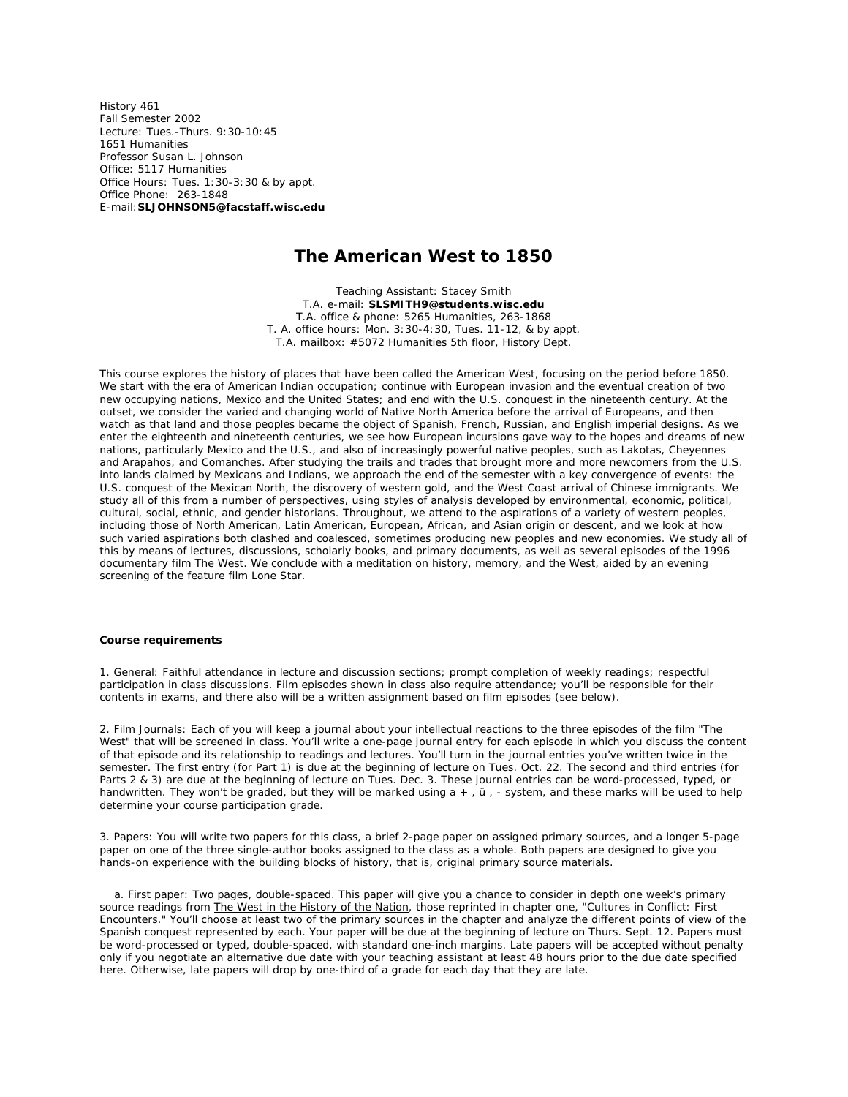History 461 Fall Semester 2002 Lecture: Tues.-Thurs. 9:30-10:45 1651 Humanities Professor Susan L. Johnson Office: 5117 Humanities Office Hours: Tues. 1:30-3:30 & by appt. Office Phone: 263-1848 E-mail:**SLJOHNSON5@facstaff.wisc.edu**

# **The American West to 1850**

Teaching Assistant: Stacey Smith T.A. e-mail: **SLSMITH9@students.wisc.edu** T.A. office & phone: 5265 Humanities, 263-1868 T. A. office hours: Mon. 3:30-4:30, Tues. 11-12, & by appt. T.A. mailbox: #5072 Humanities 5th floor, History Dept.

This course explores the history of places that have been called the American West, focusing on the period before 1850. We start with the era of American Indian occupation; continue with European invasion and the eventual creation of two new occupying nations, Mexico and the United States; and end with the U.S. conquest in the nineteenth century. At the outset, we consider the varied and changing world of Native North America before the arrival of Europeans, and then watch as that land and those peoples became the object of Spanish, French, Russian, and English imperial designs. As we enter the eighteenth and nineteenth centuries, we see how European incursions gave way to the hopes and dreams of new nations, particularly Mexico and the U.S., and also of increasingly powerful native peoples, such as Lakotas, Cheyennes and Arapahos, and Comanches. After studying the trails and trades that brought more and more newcomers from the U.S. into lands claimed by Mexicans and Indians, we approach the end of the semester with a key convergence of events: the U.S. conquest of the Mexican North, the discovery of western gold, and the West Coast arrival of Chinese immigrants. We study all of this from a number of perspectives, using styles of analysis developed by environmental, economic, political, cultural, social, ethnic, and gender historians. Throughout, we attend to the aspirations of a variety of western peoples, including those of North American, Latin American, European, African, and Asian origin or descent, and we look at how such varied aspirations both clashed and coalesced, sometimes producing new peoples and new economies. We study all of this by means of lectures, discussions, scholarly books, and primary documents, as well as several episodes of the 1996 documentary film *The West*. We conclude with a meditation on history, memory, and the West, aided by an evening screening of the feature film *Lone Star*.

#### **Course requirements**

1. General: Faithful attendance in lecture and discussion sections; prompt completion of weekly readings; respectful participation in class discussions. Film episodes shown in class also require attendance; you'll be responsible for their contents in exams, and there also will be a written assignment based on film episodes (see below).

2. Film Journals: Each of you will keep a journal about your intellectual reactions to the three episodes of the film "The West" that will be screened in class. You'll write a one-page journal entry for each episode in which you discuss the content of that episode *and its relationship to readings and lectures*. You'll turn in the journal entries you've written twice in the semester. The first entry (for Part 1) is due at the beginning of lecture on Tues. Oct. 22. The second and third entries (for Parts 2 & 3) are due at the beginning of lecture on Tues. Dec. 3. These journal entries can be word-processed, typed, or handwritten. They won't be graded, but they will be marked using a +, ü, - system, and these marks will be used to help determine your course participation grade.

3. Papers: You will write two papers for this class, a brief 2-page paper on assigned primary sources, and a longer 5-page paper on one of the three single-author books assigned to the class as a whole. Both papers are designed to give you hands-on experience with the building blocks of history, that is, original primary source materials.

 a. First paper: Two pages, double-spaced. This paper will give you a chance to consider in depth one week's primary source readings from The West in the History of the Nation, those reprinted in chapter one, "Cultures in Conflict: First Encounters." You'll choose at least two of the primary sources in the chapter and analyze the different points of view of the Spanish conquest represented by each. Your paper will be due at the beginning of lecture on Thurs. Sept. 12. Papers must be word-processed or typed, double-spaced, with standard one-inch margins. Late papers will be accepted without penalty only if you negotiate an alternative due date with your teaching assistant *at least 48 hours prior to the due date* specified here. Otherwise, late papers will drop by one-third of a grade for each day that they are late.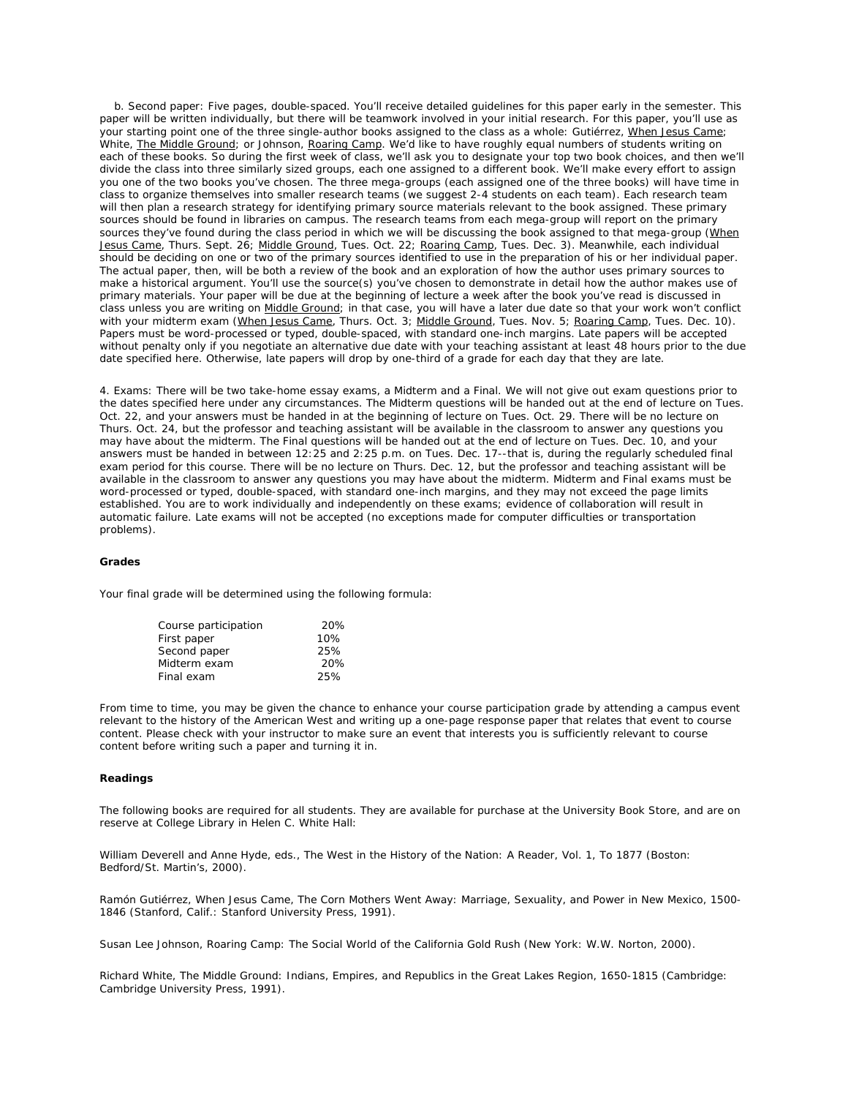b. Second paper: Five pages, double-spaced. You'll receive detailed guidelines for this paper early in the semester. This paper will be written individually, but there will be teamwork involved in your initial research. For this paper, you'll use as your starting point one of the three single-author books assigned to the class as a whole: Gutiérrez, When Jesus Came; White, The Middle Ground; or Johnson, Roaring Camp. We'd like to have roughly equal numbers of students writing on each of these books. So during the first week of class, we'll ask you to designate your top two book choices, and then we'll divide the class into three similarly sized groups, each one assigned to a different book. We'll make every effort to assign you one of the two books you've chosen. The three mega-groups (each assigned one of the three books) will have time in class to organize themselves into smaller research teams (we suggest 2-4 students on each team). Each research team will then plan a research strategy for identifying primary source materials relevant to the book assigned. These primary sources should be found in libraries on campus. The research teams from each mega-group will report on the primary sources they've found during the class period in which we will be discussing the book assigned to that mega-group (When Jesus Came, Thurs. Sept. 26; Middle Ground, Tues. Oct. 22; Roaring Camp, Tues. Dec. 3). Meanwhile, each individual should be deciding on one or two of the primary sources identified to use in the preparation of his or her individual paper. The actual paper, then, will be both a review of the book and an exploration of how the author uses primary sources to make a historical argument. You'll use the source(s) you've chosen to demonstrate in detail how the author makes use of primary materials. Your paper will be due at the beginning of lecture a week after the book you've read is discussed in class unless you are writing on Middle Ground; in that case, you will have a later due date so that your work won't conflict with your midterm exam (When Jesus Came, Thurs. Oct. 3; Middle Ground, Tues. Nov. 5; Roaring Camp, Tues. Dec. 10). Papers must be word-processed or typed, double-spaced, with standard one-inch margins. Late papers will be accepted without penalty only if you negotiate an alternative due date with your teaching assistant at least *48 hours prior to the due date* specified here. Otherwise, late papers will drop by one-third of a grade for each day that they are late.

4. Exams: There will be two take-home essay exams, a Midterm and a Final. We will not give out exam questions prior to the dates specified here under any circumstances. The Midterm questions will be handed out at the end of lecture on Tues. Oct. 22, and your answers must be handed in at the beginning of lecture on Tues. Oct. 29. There will be no lecture on Thurs. Oct. 24, but the professor and teaching assistant will be available in the classroom to answer any questions you may have about the midterm. The Final questions will be handed out at the end of lecture on Tues. Dec. 10, and your answers must be handed in between 12:25 and 2:25 p.m. on Tues. Dec. 17--that is, during the regularly scheduled final exam period for this course. There will be no lecture on Thurs. Dec. 12, but the professor and teaching assistant will be available in the classroom to answer any questions you may have about the midterm. Midterm and Final exams must be word-processed or typed, double-spaced, with standard one-inch margins, and they may not exceed the page limits established. You are to work individually and independently on these exams; evidence of collaboration will result in automatic failure. Late exams will not be accepted (no exceptions made for computer difficulties or transportation problems).

#### **Grades**

Your final grade will be determined using the following formula:

| Course participation | 20% |
|----------------------|-----|
| First paper          | 10% |
| Second paper         | 25% |
| Midterm exam         | 20% |
| Final exam           | 25% |

From time to time, you may be given the chance to enhance your course participation grade by attending a campus event relevant to the history of the American West and writing up a one-page response paper that relates that event to course content. Please check with your instructor to make sure an event that interests you is sufficiently relevant to course content before writing such a paper and turning it in.

#### **Readings**

The following books are required for all students. They are available for purchase at the University Book Store, and are on reserve at College Library in Helen C. White Hall:

William Deverell and Anne Hyde, eds., *The West in the History of the Nation: A Reader*, Vol. 1, To 1877 (Boston: Bedford/St. Martin's, 2000).

Ramón Gutiérrez, *When Jesus Came, The Corn Mothers Went Away: Marriage, Sexuality, and Power in New Mexico*, 1500- 1846 (Stanford, Calif.: Stanford University Press, 1991).

Susan Lee Johnson, *Roaring Camp: The Social World of the California Gold Rush* (New York: W.W. Norton, 2000).

Richard White, *The Middle Ground: Indians, Empires, and Republics in the Great Lakes Region, 1650-1815* (Cambridge: Cambridge University Press, 1991).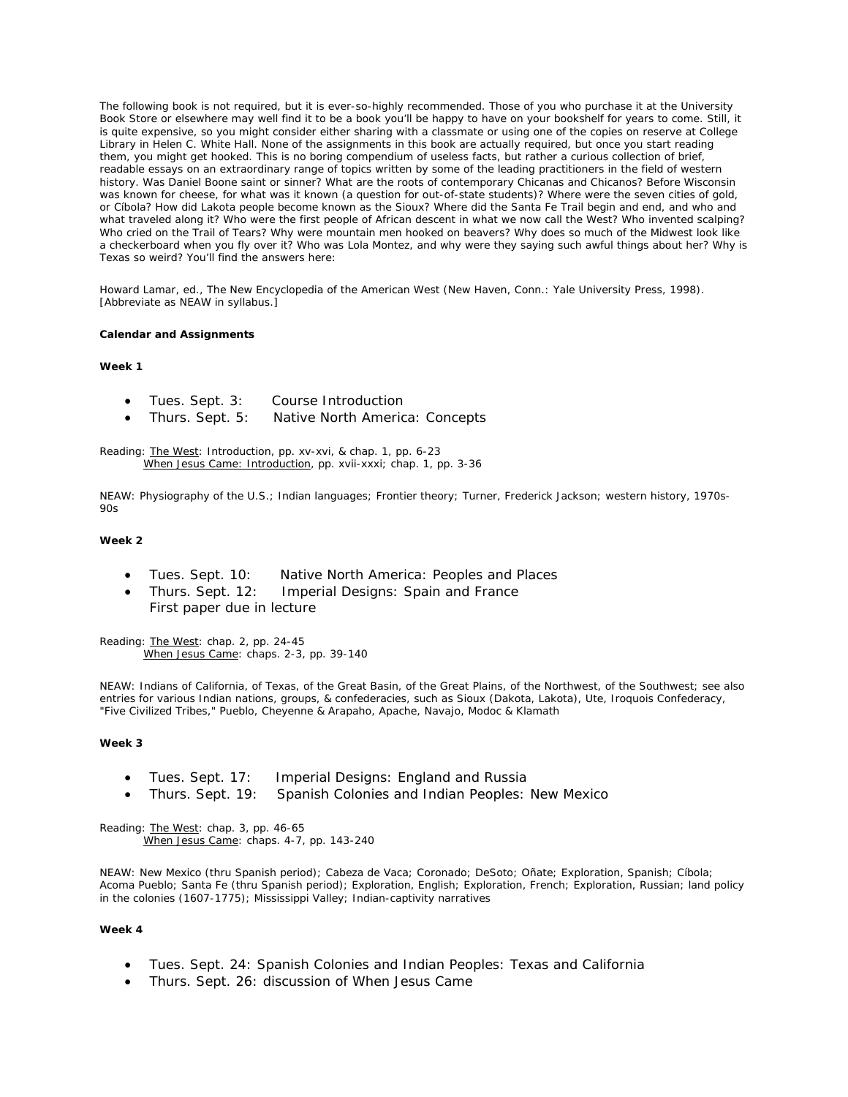The following book is *not required*, but it is *ever-so-highly recommended*. Those of you who purchase it at the University Book Store or elsewhere may well find it to be a book you'll be happy to have on your bookshelf for years to come. Still, it is quite expensive, so you might consider either sharing with a classmate or using one of the copies on reserve at College Library in Helen C. White Hall. None of the assignments in this book are actually required, but once you start reading them, you might get hooked. This is no boring compendium of useless facts, but rather a curious collection of brief, readable essays on an extraordinary range of topics written by some of the leading practitioners in the field of western history. Was Daniel Boone saint or sinner? What are the roots of contemporary Chicanas and Chicanos? Before Wisconsin was known for cheese, for what was it known (a question for out-of-state students)? Where were the seven cities of gold, or Cíbola? How did Lakota people become known as the Sioux? Where did the Santa Fe Trail begin and end, and who and what traveled along it? Who were the first people of African descent in what we now call the West? Who invented scalping? Who cried on the Trail of Tears? Why were mountain men hooked on beavers? Why does so much of the Midwest look like a checkerboard when you fly over it? Who was Lola Montez, and why were they saying such awful things about her? Why is Texas so weird? You'll find the answers here:

Howard Lamar, ed., *The New Encyclopedia of the American West* (New Haven, Conn.: Yale University Press, 1998). [Abbreviate as NEAW in syllabus.]

#### **Calendar and Assignments**

#### **Week 1**

- Tues. Sept. 3: Course Introduction
- Thurs. Sept. 5: Native North America: Concepts

Reading: The West: Introduction, pp. xv-xvi, & chap. 1, pp. 6-23 When Jesus Came: Introduction, pp. xvii-xxxi; chap. 1, pp. 3-36

NEAW: Physiography of the U.S.; Indian languages; Frontier theory; Turner, Frederick Jackson; western history, 1970s- $90s$ 

#### **Week 2**

- Tues. Sept. 10: Native North America: Peoples and Places
- Thurs. Sept. 12: Imperial Designs: Spain and France *First paper due in lecture*

Reading: The West: chap. 2, pp. 24-45 When Jesus Came: chaps. 2-3, pp. 39-140

NEAW: Indians of California, of Texas, of the Great Basin, of the Great Plains, of the Northwest, of the Southwest; see also entries for various Indian nations, groups, & confederacies, such as Sioux (Dakota, Lakota), Ute, Iroquois Confederacy, "Five Civilized Tribes," Pueblo, Cheyenne & Arapaho, Apache, Navajo, Modoc & Klamath

#### **Week 3**

- Tues. Sept. 17: Imperial Designs: England and Russia
- Thurs. Sept. 19: Spanish Colonies and Indian Peoples: New Mexico

Reading: The West: chap. 3, pp. 46-65 When Jesus Came: chaps. 4-7, pp. 143-240

NEAW: New Mexico (thru Spanish period); Cabeza de Vaca; Coronado; DeSoto; Oñate; Exploration, Spanish; Cíbola; Acoma Pueblo; Santa Fe (thru Spanish period); Exploration, English; Exploration, French; Exploration, Russian; land policy in the colonies (1607-1775); Mississippi Valley; Indian-captivity narratives

# **Week 4**

- Tues. Sept. 24: Spanish Colonies and Indian Peoples: Texas and California
- Thurs. Sept. 26: discussion of When Jesus Came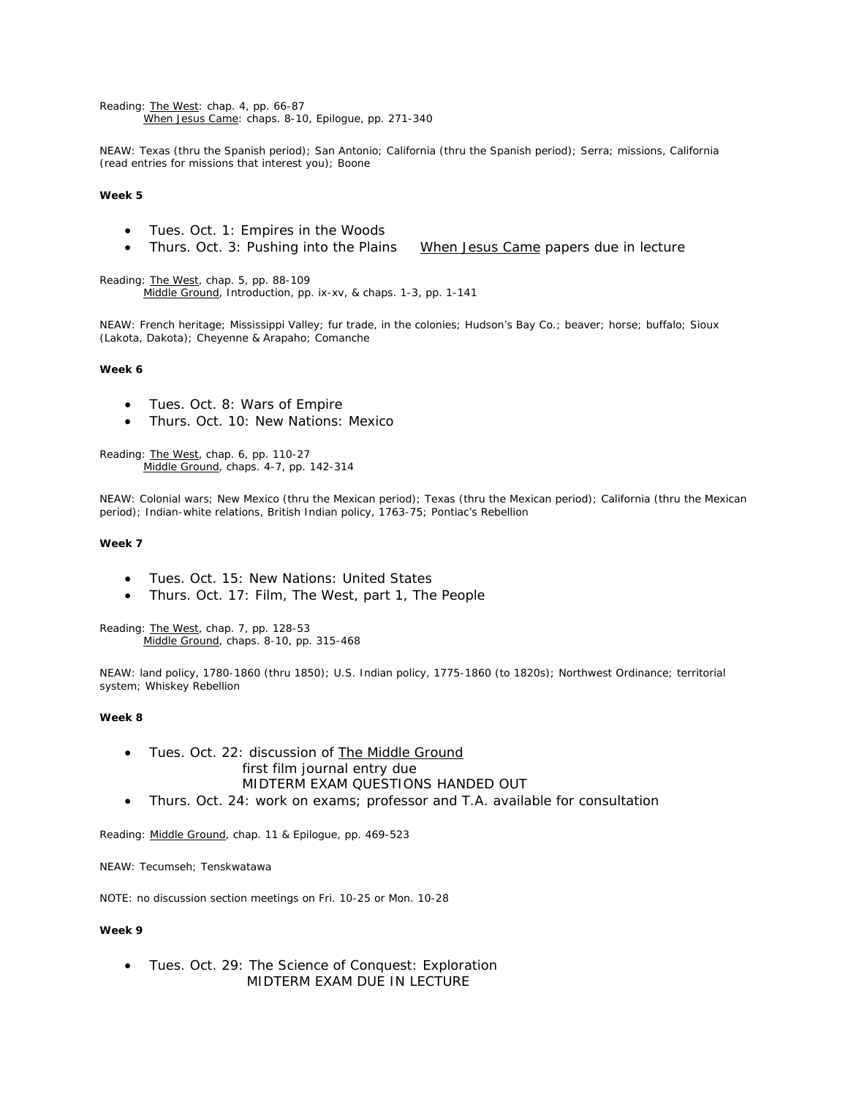Reading: The West: chap. 4, pp. 66-87 When Jesus Came: chaps. 8-10, Epilogue, pp. 271-340

NEAW: Texas (thru the Spanish period); San Antonio; California (thru the Spanish period); Serra; missions, California (read entries for missions that interest you); Boone

# **Week 5**

- Tues. Oct. 1: Empires in the Woods
- Thurs. Oct. 3: Pushing into the Plains *When Jesus Came papers due in lecture*

Reading: The West, chap. 5, pp. 88-109 Middle Ground, Introduction, pp. ix-xv, & chaps. 1-3, pp. 1-141

NEAW: French heritage; Mississippi Valley; fur trade, in the colonies; Hudson's Bay Co.; beaver; horse; buffalo; Sioux (Lakota, Dakota); Cheyenne & Arapaho; Comanche

#### **Week 6**

- Tues. Oct. 8: Wars of Empire
- Thurs. Oct. 10: New Nations: Mexico

Reading: The West, chap. 6, pp. 110-27 Middle Ground, chaps. 4-7, pp. 142-314

NEAW: Colonial wars; New Mexico (thru the Mexican period); Texas (thru the Mexican period); California (thru the Mexican period); Indian-white relations, British Indian policy, 1763-75; Pontiac's Rebellion

#### **Week 7**

- Tues. Oct. 15: New Nations: United States
- Thurs. Oct. 17: Film, *The West*, part 1, *The People*

Reading: The West, chap. 7, pp. 128-53 Middle Ground, chaps. 8-10, pp. 315-468

NEAW: land policy, 1780-1860 (thru 1850); U.S. Indian policy, 1775-1860 (to 1820s); Northwest Ordinance; territorial system; Whiskey Rebellion

# **Week 8**

- Tues. Oct. 22: discussion of The Middle Ground first film journal entry due MIDTERM EXAM QUESTIONS HANDED OUT
- Thurs. Oct. 24: work on exams; professor and T.A. available for consultation

Reading: Middle Ground, chap. 11 & Epilogue, pp. 469-523

NEAW: Tecumseh; Tenskwatawa

NOTE: *no discussion section meetings on Fri. 10-25 or Mon. 10-28* 

# **Week 9**

• Tues. Oct. 29: The Science of Conquest: Exploration MIDTERM EXAM DUE IN LECTURE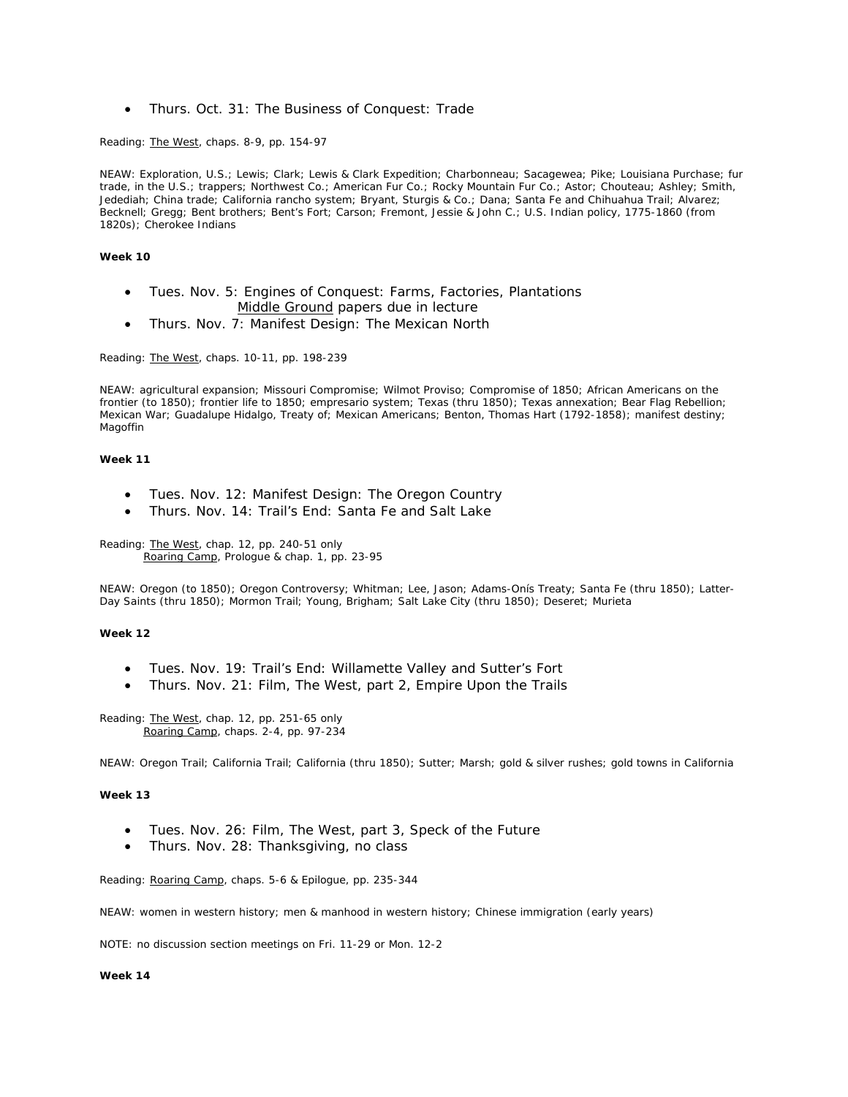• Thurs. Oct. 31: The Business of Conquest: Trade

Reading: The West, chaps. 8-9, pp. 154-97

NEAW: Exploration, U.S.; Lewis; Clark; Lewis & Clark Expedition; Charbonneau; Sacagewea; Pike; Louisiana Purchase; fur trade, in the U.S.; trappers; Northwest Co.; American Fur Co.; Rocky Mountain Fur Co.; Astor; Chouteau; Ashley; Smith, Jedediah; China trade; California rancho system; Bryant, Sturgis & Co.; Dana; Santa Fe and Chihuahua Trail; Alvarez; Becknell; Gregg; Bent brothers; Bent's Fort; Carson; Fremont, Jessie & John C.; U.S. Indian policy, 1775-1860 (from 1820s); Cherokee Indians

#### **Week 10**

- Tues. Nov. 5: Engines of Conquest: Farms, Factories, Plantations Middle Ground papers due in lecture
- Thurs. Nov. 7: Manifest Design: The Mexican North

Reading: The West, chaps. 10-11, pp. 198-239

NEAW: agricultural expansion; Missouri Compromise; Wilmot Proviso; Compromise of 1850; African Americans on the frontier (to 1850); frontier life to 1850; empresario system; Texas (thru 1850); Texas annexation; Bear Flag Rebellion; Mexican War; Guadalupe Hidalgo, Treaty of; Mexican Americans; Benton, Thomas Hart (1792-1858); manifest destiny; Magoffin

#### **Week 11**

- Tues. Nov. 12: Manifest Design: The Oregon Country
- Thurs. Nov. 14: Trail's End: Santa Fe and Salt Lake

Reading: The West, chap. 12, pp. 240-51 only Roaring Camp, Prologue & chap. 1, pp. 23-95

NEAW: Oregon (to 1850); Oregon Controversy; Whitman; Lee, Jason; Adams-Onís Treaty; Santa Fe (thru 1850); Latter-Day Saints (thru 1850); Mormon Trail; Young, Brigham; Salt Lake City (thru 1850); Deseret; Murieta

### **Week 12**

- Tues. Nov. 19: Trail's End: Willamette Valley and Sutter's Fort
- Thurs. Nov. 21: Film, *The West*, part 2, *Empire Upon the Trails*

Reading: The West, chap. 12, pp. 251-65 only Roaring Camp, chaps. 2-4, pp. 97-234

NEAW: Oregon Trail; California Trail; California (thru 1850); Sutter; Marsh; gold & silver rushes; gold towns in California

## **Week 13**

- Tues. Nov. 26: Film, *The West*, part 3, *Speck of the Future*
- Thurs. Nov. 28: *Thanksgiving, no class*

Reading: Roaring Camp, chaps. 5-6 & Epilogue, pp. 235-344

NEAW: women in western history; men & manhood in western history; Chinese immigration (early years)

NOTE: *no discussion section meetings on Fri. 11-29 or Mon. 12-2*

#### **Week 14**